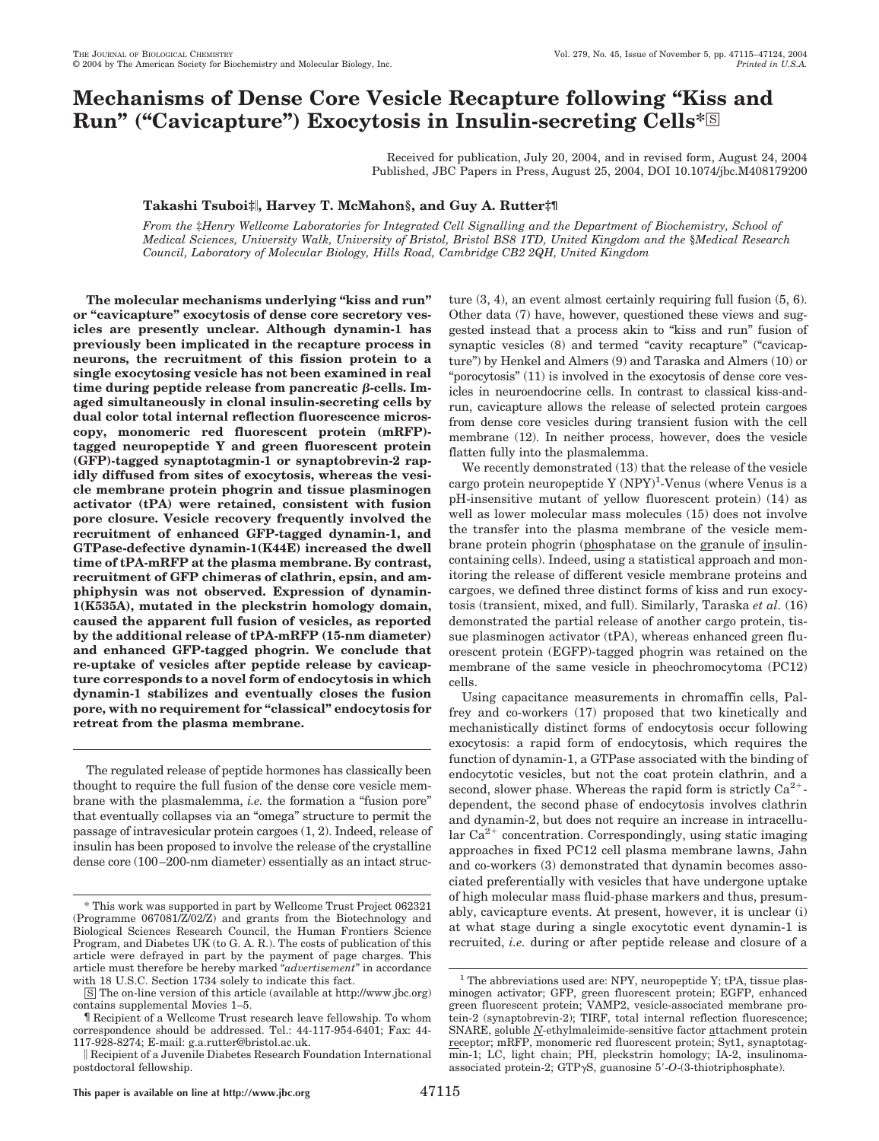# **Mechanisms of Dense Core Vesicle Recapture following "Kiss and** Run" ("Cavicapture") Exocytosis in Insulin-secreting Cells\*<sup>S</sup>

Received for publication, July 20, 2004, and in revised form, August 24, 2004 Published, JBC Papers in Press, August 25, 2004, DOI 10.1074/jbc.M408179200

## **Takashi Tsuboi‡, Harvey T. McMahon§, and Guy A. Rutter‡¶**

*From the* ‡*Henry Wellcome Laboratories for Integrated Cell Signalling and the Department of Biochemistry, School of Medical Sciences, University Walk, University of Bristol, Bristol BS8 1TD, United Kingdom and the* §*Medical Research Council, Laboratory of Molecular Biology, Hills Road, Cambridge CB2 2QH, United Kingdom*

**The molecular mechanisms underlying "kiss and run" or "cavicapture" exocytosis of dense core secretory vesicles are presently unclear. Although dynamin-1 has previously been implicated in the recapture process in neurons, the recruitment of this fission protein to a single exocytosing vesicle has not been examined in real**  $time$  during peptide release from pancreatic  $\beta$ -cells. Im**aged simultaneously in clonal insulin-secreting cells by dual color total internal reflection fluorescence microscopy, monomeric red fluorescent protein (mRFP) tagged neuropeptide Y and green fluorescent protein (GFP)-tagged synaptotagmin-1 or synaptobrevin-2 rapidly diffused from sites of exocytosis, whereas the vesicle membrane protein phogrin and tissue plasminogen activator (tPA) were retained, consistent with fusion pore closure. Vesicle recovery frequently involved the recruitment of enhanced GFP-tagged dynamin-1, and GTPase-defective dynamin-1(K44E) increased the dwell time of tPA-mRFP at the plasma membrane. By contrast, recruitment of GFP chimeras of clathrin, epsin, and amphiphysin was not observed. Expression of dynamin-1(K535A), mutated in the pleckstrin homology domain, caused the apparent full fusion of vesicles, as reported by the additional release of tPA-mRFP (15-nm diameter) and enhanced GFP-tagged phogrin. We conclude that re-uptake of vesicles after peptide release by cavicapture corresponds to a novel form of endocytosis in which dynamin-1 stabilizes and eventually closes the fusion pore, with no requirement for "classical" endocytosis for retreat from the plasma membrane.**

The regulated release of peptide hormones has classically been thought to require the full fusion of the dense core vesicle membrane with the plasmalemma, *i.e.* the formation a "fusion pore" that eventually collapses via an "omega" structure to permit the passage of intravesicular protein cargoes (1, 2). Indeed, release of insulin has been proposed to involve the release of the crystalline dense core (100–200-nm diameter) essentially as an intact structure (3, 4), an event almost certainly requiring full fusion (5, 6). Other data (7) have, however, questioned these views and suggested instead that a process akin to "kiss and run" fusion of synaptic vesicles (8) and termed "cavity recapture" ("cavicapture") by Henkel and Almers (9) and Taraska and Almers (10) or "porocytosis" (11) is involved in the exocytosis of dense core vesicles in neuroendocrine cells. In contrast to classical kiss-andrun, cavicapture allows the release of selected protein cargoes from dense core vesicles during transient fusion with the cell membrane (12). In neither process, however, does the vesicle flatten fully into the plasmalemma.

We recently demonstrated (13) that the release of the vesicle cargo protein neuropeptide Y (NPY)<sup>1</sup>-Venus (where Venus is a pH-insensitive mutant of yellow fluorescent protein) (14) as well as lower molecular mass molecules (15) does not involve the transfer into the plasma membrane of the vesicle membrane protein phogrin (phosphatase on the granule of insulincontaining cells). Indeed, using a statistical approach and monitoring the release of different vesicle membrane proteins and cargoes, we defined three distinct forms of kiss and run exocytosis (transient, mixed, and full). Similarly, Taraska *et al.* (16) demonstrated the partial release of another cargo protein, tissue plasminogen activator (tPA), whereas enhanced green fluorescent protein (EGFP)-tagged phogrin was retained on the membrane of the same vesicle in pheochromocytoma (PC12) cells.

Using capacitance measurements in chromaffin cells, Palfrey and co-workers (17) proposed that two kinetically and mechanistically distinct forms of endocytosis occur following exocytosis: a rapid form of endocytosis, which requires the function of dynamin-1, a GTPase associated with the binding of endocytotic vesicles, but not the coat protein clathrin, and a second, slower phase. Whereas the rapid form is strictly  $Ca^{2+}$ dependent, the second phase of endocytosis involves clathrin and dynamin-2, but does not require an increase in intracellular  $Ca^{2+}$  concentration. Correspondingly, using static imaging approaches in fixed PC12 cell plasma membrane lawns, Jahn and co-workers (3) demonstrated that dynamin becomes associated preferentially with vesicles that have undergone uptake of high molecular mass fluid-phase markers and thus, presumably, cavicapture events. At present, however, it is unclear (i) at what stage during a single exocytotic event dynamin-1 is recruited, *i.e.* during or after peptide release and closure of a

<sup>\*</sup> This work was supported in part by Wellcome Trust Project 062321 (Programme 067081/Z/02/Z) and grants from the Biotechnology and Biological Sciences Research Council, the Human Frontiers Science Program, and Diabetes UK (to G. A. R.). The costs of publication of this article were defrayed in part by the payment of page charges. This article must therefore be hereby marked "*advertisement*" in accordance with 18 U.S.C. Section 1734 solely to indicate this fact.

<sup>□</sup>S The on-line version of this article (available at http://www.jbc.org) contains supplemental Movies 1–5.

<sup>¶</sup> Recipient of a Wellcome Trust research leave fellowship. To whom correspondence should be addressed. Tel.: 44-117-954-6401; Fax: 44- 117-928-8274; E-mail: g.a.rutter@bristol.ac.uk.

Recipient of a Juvenile Diabetes Research Foundation International postdoctoral fellowship.

<sup>&</sup>lt;sup>1</sup> The abbreviations used are: NPY, neuropeptide Y; tPA, tissue plasminogen activator; GFP, green fluorescent protein; EGFP, enhanced green fluorescent protein; VAMP2, vesicle-associated membrane protein-2 (synaptobrevin-2); TIRF, total internal reflection fluorescence; SNARE, soluble *N*-ethylmaleimide-sensitive factor attachment protein receptor; mRFP, monomeric red fluorescent protein; Syt1, synaptotagmin-1; LC, light chain; PH, pleckstrin homology; IA-2, insulinomaassociated protein-2;  $GTP\gamma S$ , guanosine  $5'-O$ - $(3$ -thiotriphosphate).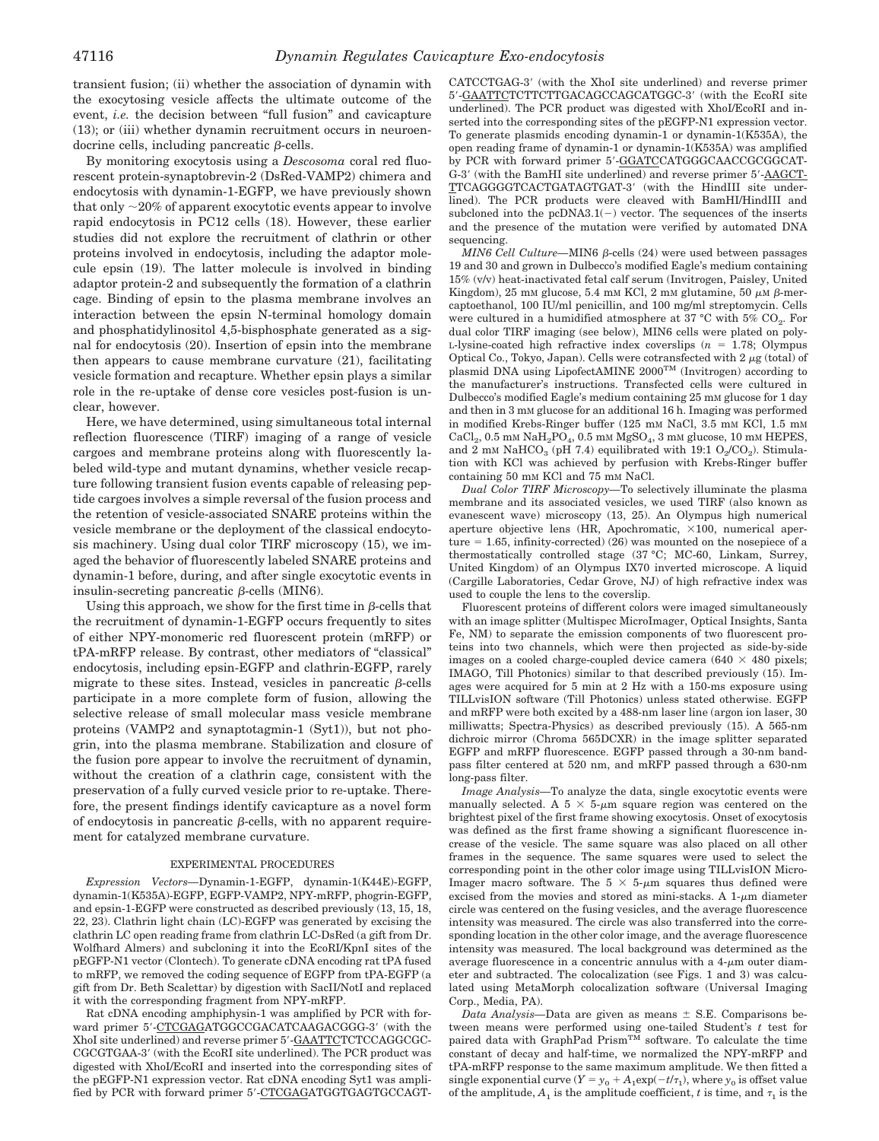transient fusion; (ii) whether the association of dynamin with the exocytosing vesicle affects the ultimate outcome of the event, *i.e.* the decision between "full fusion" and cavicapture (13); or (iii) whether dynamin recruitment occurs in neuroendocrine cells, including pancreatic  $\beta$ -cells.

By monitoring exocytosis using a *Descosoma* coral red fluorescent protein-synaptobrevin-2 (DsRed-VAMP2) chimera and endocytosis with dynamin-1-EGFP, we have previously shown that only  $\sim$ 20% of apparent exocytotic events appear to involve rapid endocytosis in PC12 cells (18). However, these earlier studies did not explore the recruitment of clathrin or other proteins involved in endocytosis, including the adaptor molecule epsin (19). The latter molecule is involved in binding adaptor protein-2 and subsequently the formation of a clathrin cage. Binding of epsin to the plasma membrane involves an interaction between the epsin N-terminal homology domain and phosphatidylinositol 4,5-bisphosphate generated as a signal for endocytosis (20). Insertion of epsin into the membrane then appears to cause membrane curvature (21), facilitating vesicle formation and recapture. Whether epsin plays a similar role in the re-uptake of dense core vesicles post-fusion is unclear, however.

Here, we have determined, using simultaneous total internal reflection fluorescence (TIRF) imaging of a range of vesicle cargoes and membrane proteins along with fluorescently labeled wild-type and mutant dynamins, whether vesicle recapture following transient fusion events capable of releasing peptide cargoes involves a simple reversal of the fusion process and the retention of vesicle-associated SNARE proteins within the vesicle membrane or the deployment of the classical endocytosis machinery. Using dual color TIRF microscopy (15), we imaged the behavior of fluorescently labeled SNARE proteins and dynamin-1 before, during, and after single exocytotic events in insulin-secreting pancreatic  $\beta$ -cells (MIN6).

Using this approach, we show for the first time in  $\beta$ -cells that the recruitment of dynamin-1-EGFP occurs frequently to sites of either NPY-monomeric red fluorescent protein (mRFP) or tPA-mRFP release. By contrast, other mediators of "classical" endocytosis, including epsin-EGFP and clathrin-EGFP, rarely migrate to these sites. Instead, vesicles in pancreatic  $\beta$ -cells participate in a more complete form of fusion, allowing the selective release of small molecular mass vesicle membrane proteins (VAMP2 and synaptotagmin-1 (Syt1)), but not phogrin, into the plasma membrane. Stabilization and closure of the fusion pore appear to involve the recruitment of dynamin, without the creation of a clathrin cage, consistent with the preservation of a fully curved vesicle prior to re-uptake. Therefore, the present findings identify cavicapture as a novel form of endocytosis in pancreatic  $\beta$ -cells, with no apparent requirement for catalyzed membrane curvature.

#### EXPERIMENTAL PROCEDURES

*Expression Vectors—*Dynamin-1-EGFP, dynamin-1(K44E)-EGFP, dynamin-1(K535A)-EGFP, EGFP-VAMP2, NPY-mRFP, phogrin-EGFP, and epsin-1-EGFP were constructed as described previously (13, 15, 18, 22, 23). Clathrin light chain (LC)-EGFP was generated by excising the clathrin LC open reading frame from clathrin LC-DsRed (a gift from Dr. Wolfhard Almers) and subcloning it into the EcoRI/KpnI sites of the pEGFP-N1 vector (Clontech). To generate cDNA encoding rat tPA fused to mRFP, we removed the coding sequence of EGFP from tPA-EGFP (a gift from Dr. Beth Scalettar) by digestion with SacII/NotI and replaced it with the corresponding fragment from NPY-mRFP.

Rat cDNA encoding amphiphysin-1 was amplified by PCR with forward primer 5'-CTCGAGATGGCCGACATCAAGACGGG-3' (with the XhoI site underlined) and reverse primer 5'-GAATTCTCTCCAGGCGC-CGCGTGAA-3' (with the EcoRI site underlined). The PCR product was digested with XhoI/EcoRI and inserted into the corresponding sites of the pEGFP-N1 expression vector. Rat cDNA encoding Syt1 was amplified by PCR with forward primer 5'-CTCGAGATGGTGAGTGCCAGT-

CATCCTGAG-3' (with the XhoI site underlined) and reverse primer 5'-GAATTCTCTTCTTGACAGCCAGCATGGC-3' (with the EcoRI site underlined). The PCR product was digested with XhoI/EcoRI and inserted into the corresponding sites of the pEGFP-N1 expression vector. To generate plasmids encoding dynamin-1 or dynamin-1(K535A), the open reading frame of dynamin-1 or dynamin-1(K535A) was amplified by PCR with forward primer 5'-GGATCCATGGGCAACCGCGCAT-G-3' (with the BamHI site underlined) and reverse primer 5'-AAGCT-TTCAGGGGTCACTGATAGTGAT-3- (with the HindIII site underlined). The PCR products were cleaved with BamHI/HindIII and subcloned into the pcDNA3.1( $-$ ) vector. The sequences of the inserts and the presence of the mutation were verified by automated DNA sequencing.

*MIN6 Cell Culture*—MIN6 β-cells (24) were used between passages 19 and 30 and grown in Dulbecco's modified Eagle's medium containing 15% (v/v) heat-inactivated fetal calf serum (Invitrogen, Paisley, United Kingdom), 25 mm glucose, 5.4 mm KCl, 2 mm glutamine, 50  $\mu$ m  $\beta$ -mercaptoethanol, 100 IU/ml penicillin, and 100 mg/ml streptomycin. Cells were cultured in a humidified atmosphere at 37 °C with 5%  $CO<sub>2</sub>$ . For dual color TIRF imaging (see below), MIN6 cells were plated on poly-L-lysine-coated high refractive index coverslips  $(n = 1.78;$  Olympus Optical Co., Tokyo, Japan). Cells were cotransfected with  $2 \mu$ g (total) of plasmid DNA using LipofectAMINE 2000TM (Invitrogen) according to the manufacturer's instructions. Transfected cells were cultured in Dulbecco's modified Eagle's medium containing 25 mM glucose for 1 day and then in 3 mM glucose for an additional 16 h. Imaging was performed in modified Krebs-Ringer buffer (125 mM NaCl, 3.5 mM KCl, 1.5 mM CaCl<sub>2</sub>,  $0.5$  mM NaH<sub>2</sub>PO<sub>4</sub>,  $0.5$  mM MgSO<sub>4</sub>,  $3$  mM glucose,  $10$  mM HEPES, and 2 mM NaHCO<sub>3</sub> (pH 7.4) equilibrated with 19:1 O<sub>2</sub>/CO<sub>2</sub>). Stimulation with KCl was achieved by perfusion with Krebs-Ringer buffer containing 50 mM KCl and 75 mM NaCl.

*Dual Color TIRF Microscopy—*To selectively illuminate the plasma membrane and its associated vesicles, we used TIRF (also known as evanescent wave) microscopy (13, 25). An Olympus high numerical aperture objective lens (HR, Apochromatic,  $\times 100$ , numerical aperture  $= 1.65$ , infinity-corrected) (26) was mounted on the nosepiece of a thermostatically controlled stage (37 °C; MC-60, Linkam, Surrey, United Kingdom) of an Olympus IX70 inverted microscope. A liquid (Cargille Laboratories, Cedar Grove, NJ) of high refractive index was used to couple the lens to the coverslip.

Fluorescent proteins of different colors were imaged simultaneously with an image splitter (Multispec MicroImager, Optical Insights, Santa Fe, NM) to separate the emission components of two fluorescent proteins into two channels, which were then projected as side-by-side images on a cooled charge-coupled device camera  $(640 \times 480)$  pixels; IMAGO, Till Photonics) similar to that described previously (15). Images were acquired for 5 min at 2 Hz with a 150-ms exposure using TILLvisION software (Till Photonics) unless stated otherwise. EGFP and mRFP were both excited by a 488-nm laser line (argon ion laser, 30 milliwatts; Spectra-Physics) as described previously (15). A 565-nm dichroic mirror (Chroma 565DCXR) in the image splitter separated EGFP and mRFP fluorescence. EGFP passed through a 30-nm bandpass filter centered at 520 nm, and mRFP passed through a 630-nm long-pass filter.

*Image Analysis—*To analyze the data, single exocytotic events were manually selected. A  $5 \times 5$ - $\mu$ m square region was centered on the brightest pixel of the first frame showing exocytosis. Onset of exocytosis was defined as the first frame showing a significant fluorescence increase of the vesicle. The same square was also placed on all other frames in the sequence. The same squares were used to select the corresponding point in the other color image using TILLvisION Micro-Imager macro software. The  $5 \times 5$ - $\mu$ m squares thus defined were excised from the movies and stored as mini-stacks. A  $1-\mu m$  diameter circle was centered on the fusing vesicles, and the average fluorescence intensity was measured. The circle was also transferred into the corresponding location in the other color image, and the average fluorescence intensity was measured. The local background was determined as the average fluorescence in a concentric annulus with a  $4-\mu m$  outer diameter and subtracted. The colocalization (see Figs. 1 and 3) was calculated using MetaMorph colocalization software (Universal Imaging Corp., Media, PA).

*Data Analysis*—Data are given as means  $\pm$  S.E. Comparisons between means were performed using one-tailed Student's *t* test for paired data with GraphPad PrismTM software. To calculate the time constant of decay and half-time, we normalized the NPY-mRFP and tPA-mRFP response to the same maximum amplitude. We then fitted a single exponential curve  $(Y = y_0 + A_1 \exp(-t/\tau_1))$ , where  $y_0$  is offset value of the amplitude,  $A_1$  is the amplitude coefficient, *t* is time, and  $\tau_1$  is the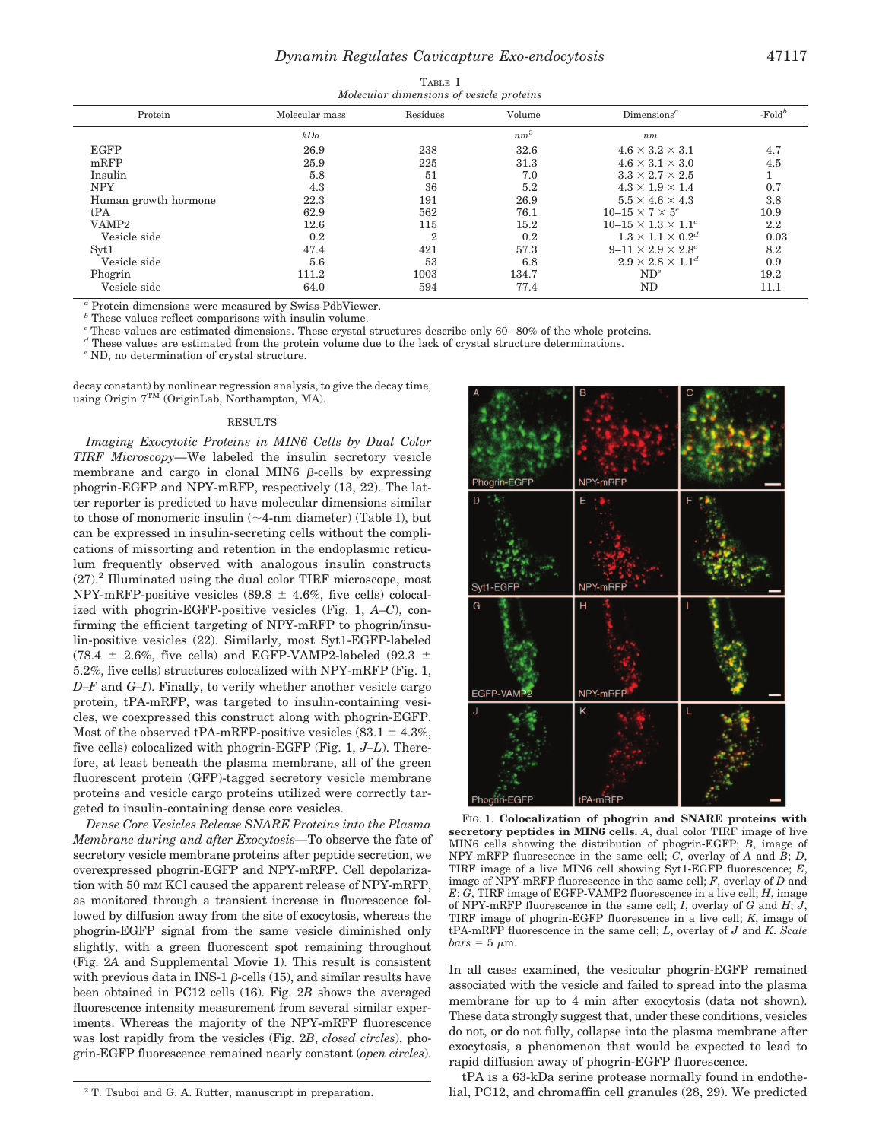| Molecular dimensions of vesicle proteins |                |                |        |                                    |           |
|------------------------------------------|----------------|----------------|--------|------------------------------------|-----------|
| Protein                                  | Molecular mass | Residues       | Volume | $Dimensions^a$                     | $-Fold^b$ |
|                                          | kDa            |                | $nm^3$ | nm                                 |           |
| <b>EGFP</b>                              | 26.9           | 238            | 32.6   | $4.6 \times 3.2 \times 3.1$        | 4.7       |
| mRFP                                     | 25.9           | 225            | 31.3   | $4.6 \times 3.1 \times 3.0$        | 4.5       |
| Insulin                                  | 5.8            | 51             | 7.0    | $3.3 \times 2.7 \times 2.5$        |           |
| <b>NPY</b>                               | 4.3            | 36             | 5.2    | $4.3 \times 1.9 \times 1.4$        | 0.7       |
| Human growth hormone                     | 22.3           | 191            | 26.9   | $5.5 \times 4.6 \times 4.3$        | 3.8       |
| tPA                                      | 62.9           | 562            | 76.1   | $10-15 \times 7 \times 5^c$        | 10.9      |
| VAMP2                                    | 12.6           | 115            | 15.2   | $10 - 15 \times 1.3 \times 1.1^c$  | $2.2\,$   |
| Vesicle side                             | 0.2            | $\overline{2}$ | 0.2    | $1.3 \times 1.1 \times 0.2^d$      | 0.03      |
| Syt1                                     | 47.4           | 421            | 57.3   | $9 - 11 \times 2.9 \times 2.8^{c}$ | 8.2       |
| Vesicle side                             | 5.6            | 53             | 6.8    | $2.9 \times 2.8 \times 1.1^{d}$    | 0.9       |
| Phogrin                                  | 111.2          | 1003           | 134.7  | $ND^e$                             | 19.2      |
| Vesicle side                             | 64.0           | 594            | 77.4   | ND                                 | 11.1      |

*<sup>a</sup>* Protein dimensions were measured by Swiss-PdbViewer.

*<sup>b</sup>* These values reflect comparisons with insulin volume.

<sup>*c*</sup> These values are estimated dimensions. These crystal structures describe only 60–80% of the whole proteins.

*<sup>d</sup>* These values are estimated from the protein volume due to the lack of crystal structure determinations.

*<sup>e</sup>* ND, no determination of crystal structure.

decay constant) by nonlinear regression analysis, to give the decay time, using Origin 7TM (OriginLab, Northampton, MA).

#### RESULTS

*Imaging Exocytotic Proteins in MIN6 Cells by Dual Color TIRF Microscopy—*We labeled the insulin secretory vesicle membrane and cargo in clonal MIN6  $\beta$ -cells by expressing phogrin-EGFP and NPY-mRFP, respectively (13, 22). The latter reporter is predicted to have molecular dimensions similar to those of monomeric insulin  $(\sim 4$ -nm diameter) (Table I), but can be expressed in insulin-secreting cells without the complications of missorting and retention in the endoplasmic reticulum frequently observed with analogous insulin constructs  $(27).<sup>2</sup>$  Illuminated using the dual color TIRF microscope, most NPY-mRFP-positive vesicles (89.8  $\pm$  4.6%, five cells) colocalized with phogrin-EGFP-positive vesicles (Fig. 1, *A–C*), confirming the efficient targeting of NPY-mRFP to phogrin/insulin-positive vesicles (22). Similarly, most Syt1-EGFP-labeled (78.4  $\pm$  2.6%, five cells) and EGFP-VAMP2-labeled (92.3  $\pm$ 5.2%, five cells) structures colocalized with NPY-mRFP (Fig. 1, *D–F* and *G–I*). Finally, to verify whether another vesicle cargo protein, tPA-mRFP, was targeted to insulin-containing vesicles, we coexpressed this construct along with phogrin-EGFP. Most of the observed tPA-mRFP-positive vesicles  $(83.1 \pm 4.3\%)$ five cells) colocalized with phogrin-EGFP (Fig. 1, *J–L*). Therefore, at least beneath the plasma membrane, all of the green fluorescent protein (GFP)-tagged secretory vesicle membrane proteins and vesicle cargo proteins utilized were correctly targeted to insulin-containing dense core vesicles.

*Dense Core Vesicles Release SNARE Proteins into the Plasma Membrane during and after Exocytosis—*To observe the fate of secretory vesicle membrane proteins after peptide secretion, we overexpressed phogrin-EGFP and NPY-mRFP. Cell depolarization with 50 mM KCl caused the apparent release of NPY-mRFP, as monitored through a transient increase in fluorescence followed by diffusion away from the site of exocytosis, whereas the phogrin-EGFP signal from the same vesicle diminished only slightly, with a green fluorescent spot remaining throughout (Fig. 2*A* and Supplemental Movie 1). This result is consistent with previous data in INS-1  $\beta$ -cells (15), and similar results have been obtained in PC12 cells (16). Fig. 2*B* shows the averaged fluorescence intensity measurement from several similar experiments. Whereas the majority of the NPY-mRFP fluorescence was lost rapidly from the vesicles (Fig. 2*B*, *closed circles*), phogrin-EGFP fluorescence remained nearly constant (*open circles*).



FIG. 1. **Colocalization of phogrin and SNARE proteins with secretory peptides in MIN6 cells.** *A*, dual color TIRF image of live MIN6 cells showing the distribution of phogrin-EGFP; *B*, image of NPY-mRFP fluorescence in the same cell; *C*, overlay of *A* and *B*; *D*, TIRF image of a live MIN6 cell showing Syt1-EGFP fluorescence; *E*, image of NPY-mRFP fluorescence in the same cell; *F*, overlay of *D* and  $E$ ;  $\overline{G}$ , TIRF image of EGFP-VAMP2 fluorescence in a live cell;  $H$ , image of NPY-mRFP fluorescence in the same cell; *I*, overlay of *G* and *H*; *J*, TIRF image of phogrin-EGFP fluorescence in a live cell; *K*, image of tPA-mRFP fluorescence in the same cell; *L*, overlay of *J* and *K*. *Scale*  $bars = 5 \mu m$ .

In all cases examined, the vesicular phogrin-EGFP remained associated with the vesicle and failed to spread into the plasma membrane for up to 4 min after exocytosis (data not shown). These data strongly suggest that, under these conditions, vesicles do not, or do not fully, collapse into the plasma membrane after exocytosis, a phenomenon that would be expected to lead to rapid diffusion away of phogrin-EGFP fluorescence.

tPA is a 63-kDa serine protease normally found in endothe-<sup>2</sup> T. Tsuboi and G. A. Rutter, manuscript in preparation.  $\qquad \qquad$  lial, PC12, and chromaffin cell granules (28, 29). We predicted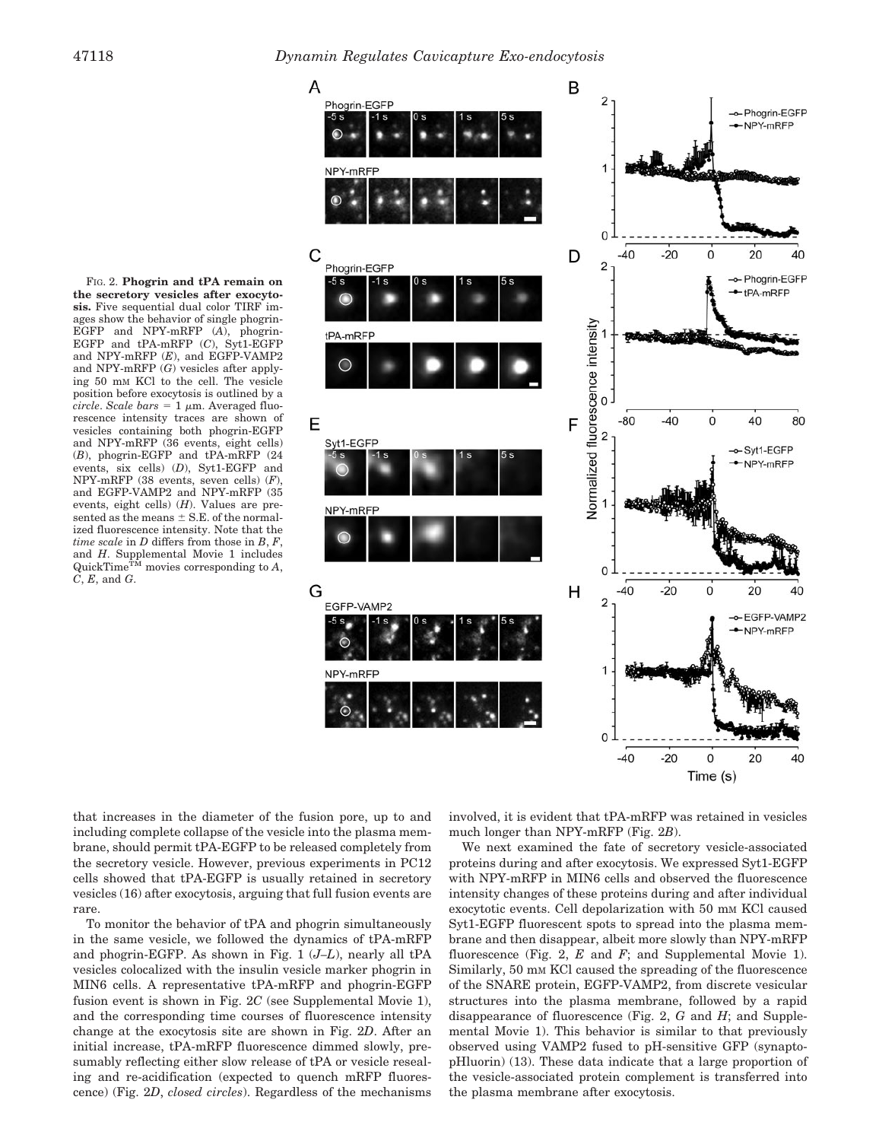



that increases in the diameter of the fusion pore, up to and including complete collapse of the vesicle into the plasma membrane, should permit tPA-EGFP to be released completely from the secretory vesicle. However, previous experiments in PC12 cells showed that tPA-EGFP is usually retained in secretory vesicles (16) after exocytosis, arguing that full fusion events are rare.

To monitor the behavior of tPA and phogrin simultaneously in the same vesicle, we followed the dynamics of tPA-mRFP and phogrin-EGFP. As shown in Fig. 1 (*J–L*), nearly all tPA vesicles colocalized with the insulin vesicle marker phogrin in MIN6 cells. A representative tPA-mRFP and phogrin-EGFP fusion event is shown in Fig. 2*C* (see Supplemental Movie 1), and the corresponding time courses of fluorescence intensity change at the exocytosis site are shown in Fig. 2*D*. After an initial increase, tPA-mRFP fluorescence dimmed slowly, presumably reflecting either slow release of tPA or vesicle resealing and re-acidification (expected to quench mRFP fluorescence) (Fig. 2*D*, *closed circles*). Regardless of the mechanisms involved, it is evident that tPA-mRFP was retained in vesicles much longer than NPY-mRFP (Fig. 2*B*).

We next examined the fate of secretory vesicle-associated proteins during and after exocytosis. We expressed Syt1-EGFP with NPY-mRFP in MIN6 cells and observed the fluorescence intensity changes of these proteins during and after individual exocytotic events. Cell depolarization with 50 mm KCl caused Syt1-EGFP fluorescent spots to spread into the plasma membrane and then disappear, albeit more slowly than NPY-mRFP fluorescence (Fig. 2, *E* and *F*; and Supplemental Movie 1). Similarly, 50 mM KCl caused the spreading of the fluorescence of the SNARE protein, EGFP-VAMP2, from discrete vesicular structures into the plasma membrane, followed by a rapid disappearance of fluorescence (Fig. 2, *G* and *H*; and Supplemental Movie 1). This behavior is similar to that previously observed using VAMP2 fused to pH-sensitive GFP (synaptopHluorin) (13). These data indicate that a large proportion of the vesicle-associated protein complement is transferred into the plasma membrane after exocytosis.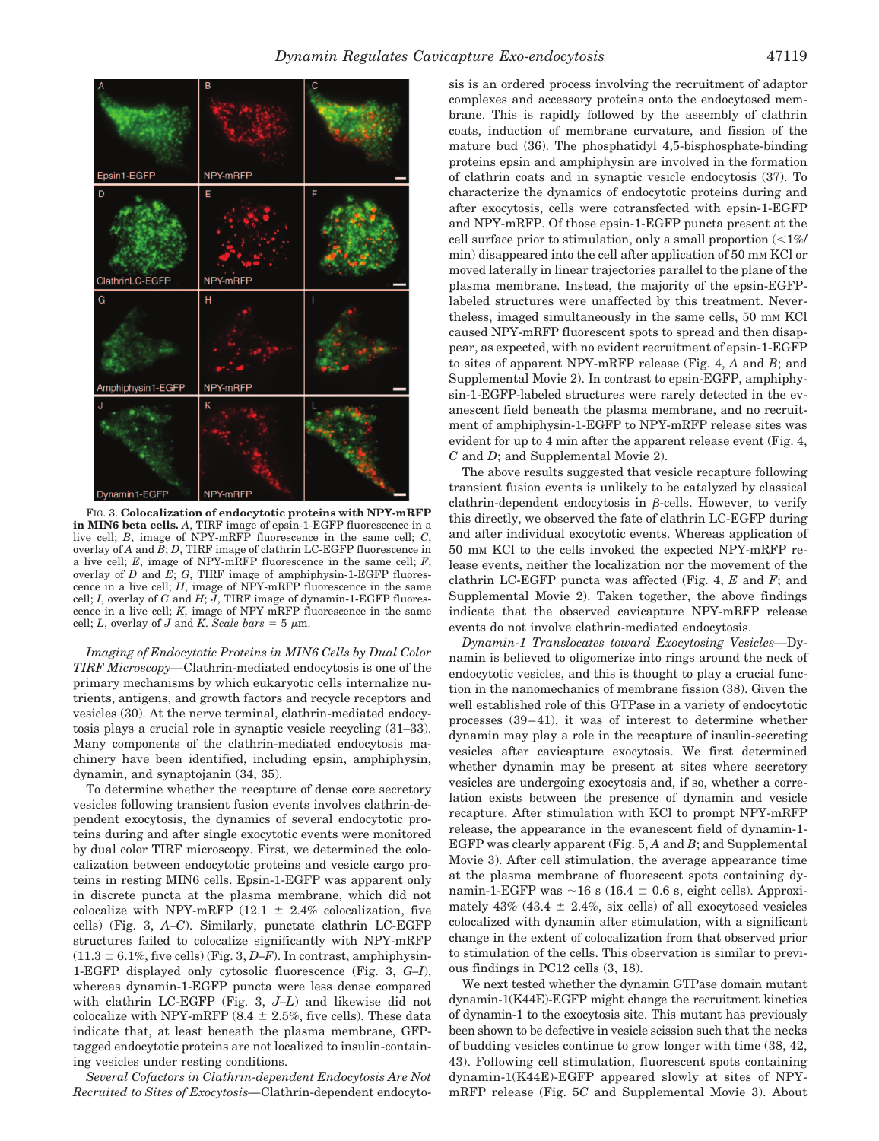

FIG. 3. **Colocalization of endocytotic proteins with NPY-mRFP in MIN6 beta cells.** *A*, TIRF image of epsin-1-EGFP fluorescence in a live cell; *B*, image of NPY-mRFP fluorescence in the same cell; *C*, overlay of *A* and *B*; *D*, TIRF image of clathrin LC-EGFP fluorescence in a live cell; *E*, image of NPY-mRFP fluorescence in the same cell; *F*, overlay of *D* and  $E$ ; *G*, TIRF image of amphiphysin-1-EGFP fluorescence in a live cell;  $H$ , image of NPY-mRFP fluorescence in the same cell; *I*, overlay of  $G$  and  $H$ ;  $J$ , TIRF image of dynamin-1-EGFP fluorescence in a live cell; *K*, image of NPY-mRFP fluorescence in the same cell; *L*, overlay of *J* and *K*. *Scale bars* = 5  $\mu$ m.

*Imaging of Endocytotic Proteins in MIN6 Cells by Dual Color TIRF Microscopy—*Clathrin-mediated endocytosis is one of the primary mechanisms by which eukaryotic cells internalize nutrients, antigens, and growth factors and recycle receptors and vesicles (30). At the nerve terminal, clathrin-mediated endocytosis plays a crucial role in synaptic vesicle recycling (31–33). Many components of the clathrin-mediated endocytosis machinery have been identified, including epsin, amphiphysin, dynamin, and synaptojanin (34, 35).

To determine whether the recapture of dense core secretory vesicles following transient fusion events involves clathrin-dependent exocytosis, the dynamics of several endocytotic proteins during and after single exocytotic events were monitored by dual color TIRF microscopy. First, we determined the colocalization between endocytotic proteins and vesicle cargo proteins in resting MIN6 cells. Epsin-1-EGFP was apparent only in discrete puncta at the plasma membrane, which did not colocalize with NPY-mRFP (12.1  $\pm$  2.4% colocalization, five cells) (Fig. 3, *A–C*). Similarly, punctate clathrin LC-EGFP structures failed to colocalize significantly with NPY-mRFP  $(11.3 \pm 6.1\%,$  five cells) (Fig. 3, *D–F*). In contrast, amphiphysin-1-EGFP displayed only cytosolic fluorescence (Fig. 3, *G–I*), whereas dynamin-1-EGFP puncta were less dense compared with clathrin LC-EGFP (Fig. 3, *J–L*) and likewise did not colocalize with NPY-mRFP (8.4  $\pm$  2.5%, five cells). These data indicate that, at least beneath the plasma membrane, GFPtagged endocytotic proteins are not localized to insulin-containing vesicles under resting conditions.

*Several Cofactors in Clathrin-dependent Endocytosis Are Not Recruited to Sites of Exocytosis—*Clathrin-dependent endocytosis is an ordered process involving the recruitment of adaptor complexes and accessory proteins onto the endocytosed membrane. This is rapidly followed by the assembly of clathrin coats, induction of membrane curvature, and fission of the mature bud (36). The phosphatidyl 4,5-bisphosphate-binding proteins epsin and amphiphysin are involved in the formation of clathrin coats and in synaptic vesicle endocytosis (37). To characterize the dynamics of endocytotic proteins during and after exocytosis, cells were cotransfected with epsin-1-EGFP and NPY-mRFP. Of those epsin-1-EGFP puncta present at the cell surface prior to stimulation, only a small proportion  $\langle \langle 1\% \rangle$ min) disappeared into the cell after application of 50 mm KCl or moved laterally in linear trajectories parallel to the plane of the plasma membrane. Instead, the majority of the epsin-EGFPlabeled structures were unaffected by this treatment. Nevertheless, imaged simultaneously in the same cells, 50 mm KCl caused NPY-mRFP fluorescent spots to spread and then disappear, as expected, with no evident recruitment of epsin-1-EGFP to sites of apparent NPY-mRFP release (Fig. 4, *A* and *B*; and Supplemental Movie 2). In contrast to epsin-EGFP, amphiphysin-1-EGFP-labeled structures were rarely detected in the evanescent field beneath the plasma membrane, and no recruitment of amphiphysin-1-EGFP to NPY-mRFP release sites was evident for up to 4 min after the apparent release event (Fig. 4, *C* and *D*; and Supplemental Movie 2).

The above results suggested that vesicle recapture following transient fusion events is unlikely to be catalyzed by classical clathrin-dependent endocytosis in  $\beta$ -cells. However, to verify this directly, we observed the fate of clathrin LC-EGFP during and after individual exocytotic events. Whereas application of 50 mM KCl to the cells invoked the expected NPY-mRFP release events, neither the localization nor the movement of the clathrin LC-EGFP puncta was affected (Fig. 4, *E* and *F*; and Supplemental Movie 2). Taken together, the above findings indicate that the observed cavicapture NPY-mRFP release events do not involve clathrin-mediated endocytosis.

*Dynamin-1 Translocates toward Exocytosing Vesicles—*Dynamin is believed to oligomerize into rings around the neck of endocytotic vesicles, and this is thought to play a crucial function in the nanomechanics of membrane fission (38). Given the well established role of this GTPase in a variety of endocytotic processes  $(39-41)$ , it was of interest to determine whether dynamin may play a role in the recapture of insulin-secreting vesicles after cavicapture exocytosis. We first determined whether dynamin may be present at sites where secretory vesicles are undergoing exocytosis and, if so, whether a correlation exists between the presence of dynamin and vesicle recapture. After stimulation with KCl to prompt NPY-mRFP release, the appearance in the evanescent field of dynamin-1- EGFP was clearly apparent (Fig. 5, *A* and *B*; and Supplemental Movie 3). After cell stimulation, the average appearance time at the plasma membrane of fluorescent spots containing dynamin-1-EGFP was  $\sim$  16 s (16.4  $\pm$  0.6 s, eight cells). Approximately  $43\%$  ( $43.4 \pm 2.4\%$ , six cells) of all exocytosed vesicles colocalized with dynamin after stimulation, with a significant change in the extent of colocalization from that observed prior to stimulation of the cells. This observation is similar to previous findings in PC12 cells (3, 18).

We next tested whether the dynamin GTPase domain mutant dynamin-1(K44E)-EGFP might change the recruitment kinetics of dynamin-1 to the exocytosis site. This mutant has previously been shown to be defective in vesicle scission such that the necks of budding vesicles continue to grow longer with time (38, 42, 43). Following cell stimulation, fluorescent spots containing dynamin-1(K44E)-EGFP appeared slowly at sites of NPYmRFP release (Fig. 5*C* and Supplemental Movie 3). About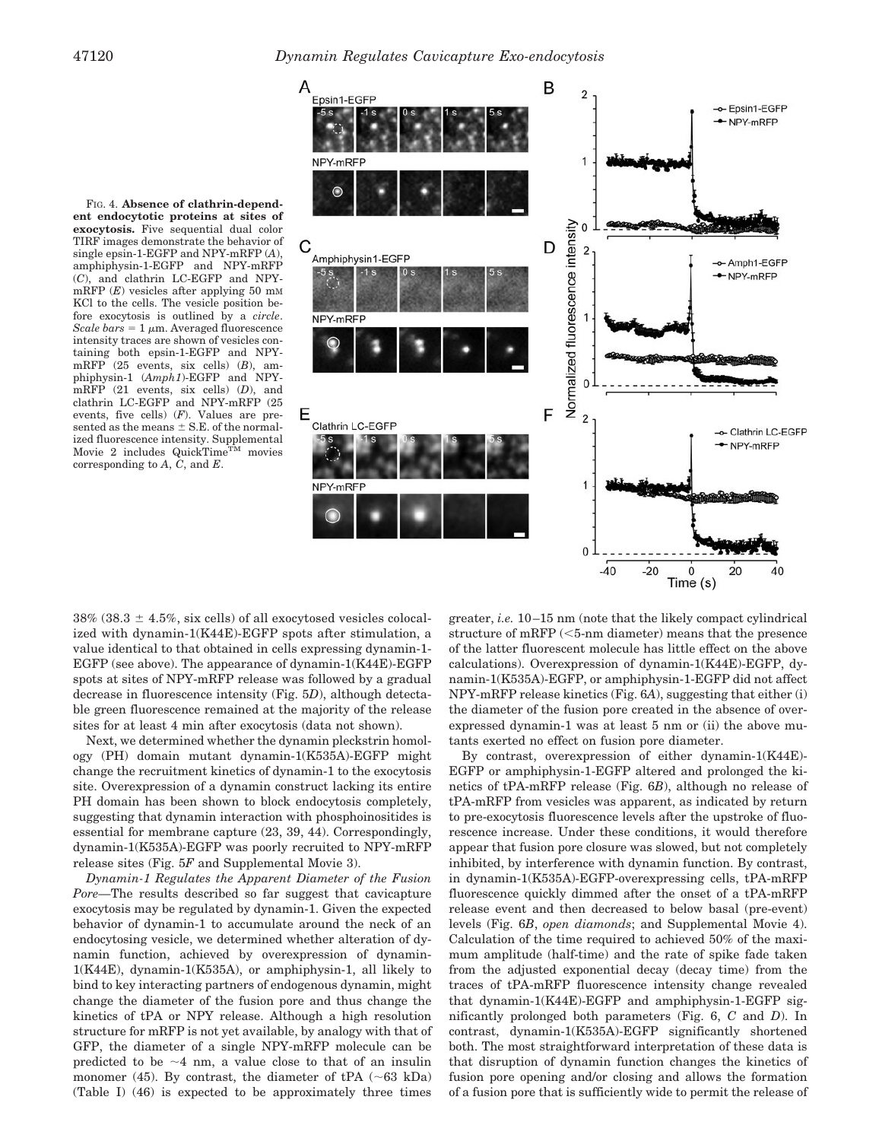



 $38\%$  ( $38.3 \pm 4.5\%$ , six cells) of all exocytosed vesicles colocalized with dynamin-1(K44E)-EGFP spots after stimulation, a value identical to that obtained in cells expressing dynamin-1- EGFP (see above). The appearance of dynamin-1(K44E)-EGFP spots at sites of NPY-mRFP release was followed by a gradual decrease in fluorescence intensity (Fig. 5*D*), although detectable green fluorescence remained at the majority of the release sites for at least 4 min after exocytosis (data not shown).

Next, we determined whether the dynamin pleckstrin homology (PH) domain mutant dynamin-1(K535A)-EGFP might change the recruitment kinetics of dynamin-1 to the exocytosis site. Overexpression of a dynamin construct lacking its entire PH domain has been shown to block endocytosis completely, suggesting that dynamin interaction with phosphoinositides is essential for membrane capture (23, 39, 44). Correspondingly, dynamin-1(K535A)-EGFP was poorly recruited to NPY-mRFP release sites (Fig. 5*F* and Supplemental Movie 3).

*Dynamin-1 Regulates the Apparent Diameter of the Fusion Pore—*The results described so far suggest that cavicapture exocytosis may be regulated by dynamin-1. Given the expected behavior of dynamin-1 to accumulate around the neck of an endocytosing vesicle, we determined whether alteration of dynamin function, achieved by overexpression of dynamin-1(K44E), dynamin-1(K535A), or amphiphysin-1, all likely to bind to key interacting partners of endogenous dynamin, might change the diameter of the fusion pore and thus change the kinetics of tPA or NPY release. Although a high resolution structure for mRFP is not yet available, by analogy with that of GFP, the diameter of a single NPY-mRFP molecule can be predicted to be  $\sim$ 4 nm, a value close to that of an insulin monomer (45). By contrast, the diameter of tPA  $(\sim 63 \text{ kDa})$ (Table I) (46) is expected to be approximately three times

greater, *i.e.* 10 –15 nm (note that the likely compact cylindrical structure of mRFP  $(<5$ -nm diameter) means that the presence of the latter fluorescent molecule has little effect on the above calculations). Overexpression of dynamin-1(K44E)-EGFP, dynamin-1(K535A)-EGFP, or amphiphysin-1-EGFP did not affect NPY-mRFP release kinetics (Fig. 6*A*), suggesting that either (i) the diameter of the fusion pore created in the absence of overexpressed dynamin-1 was at least 5 nm or (ii) the above mutants exerted no effect on fusion pore diameter.

By contrast, overexpression of either dynamin-1(K44E)- EGFP or amphiphysin-1-EGFP altered and prolonged the kinetics of tPA-mRFP release (Fig. 6*B*), although no release of tPA-mRFP from vesicles was apparent, as indicated by return to pre-exocytosis fluorescence levels after the upstroke of fluorescence increase. Under these conditions, it would therefore appear that fusion pore closure was slowed, but not completely inhibited, by interference with dynamin function. By contrast, in dynamin-1(K535A)-EGFP-overexpressing cells, tPA-mRFP fluorescence quickly dimmed after the onset of a tPA-mRFP release event and then decreased to below basal (pre-event) levels (Fig. 6*B*, *open diamonds*; and Supplemental Movie 4). Calculation of the time required to achieved 50% of the maximum amplitude (half-time) and the rate of spike fade taken from the adjusted exponential decay (decay time) from the traces of tPA-mRFP fluorescence intensity change revealed that dynamin-1(K44E)-EGFP and amphiphysin-1-EGFP significantly prolonged both parameters (Fig. 6, *C* and *D*). In contrast, dynamin-1(K535A)-EGFP significantly shortened both. The most straightforward interpretation of these data is that disruption of dynamin function changes the kinetics of fusion pore opening and/or closing and allows the formation of a fusion pore that is sufficiently wide to permit the release of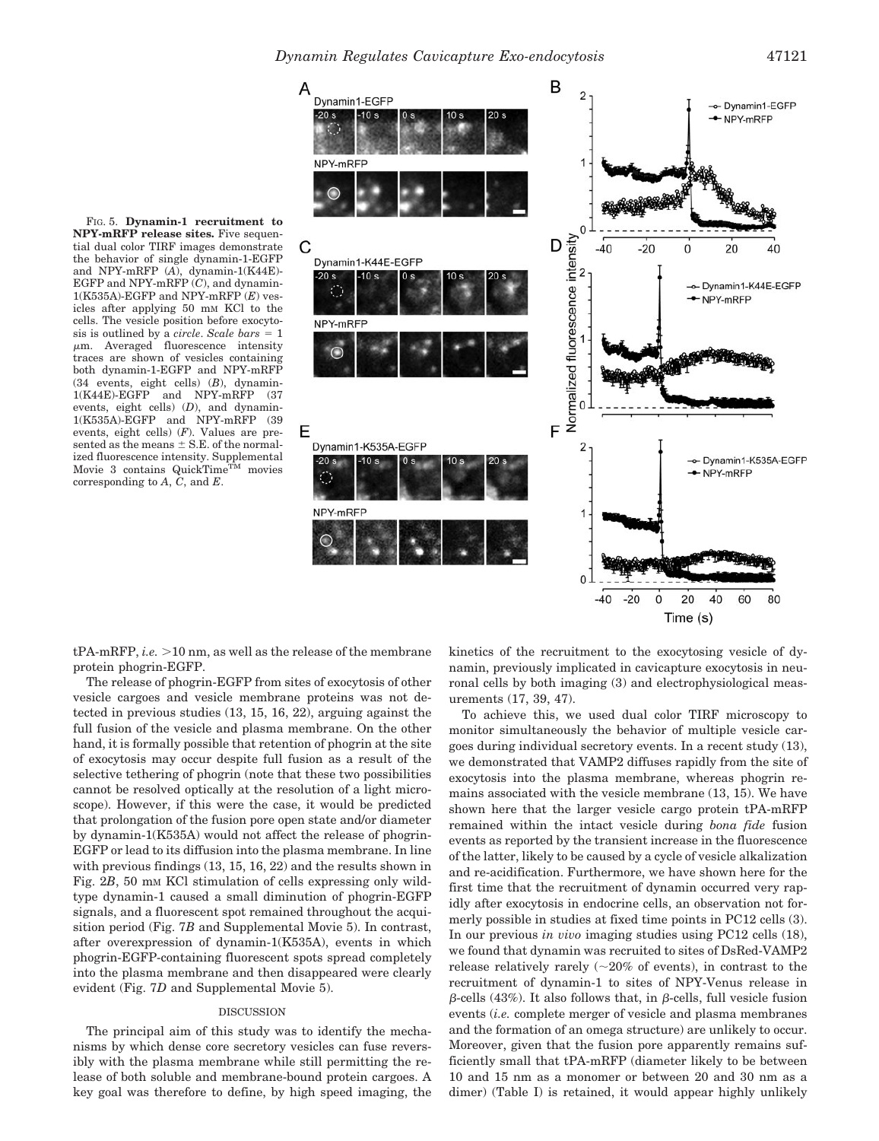B

40

80

2 Dynamin1-EGFP -- Dynamin1-EGFP  $-20s$  $-10s$ + NPY-mRFP NPY-mRFP 1  $\mathbf 0$ Normalized fluorescence intensity D C  $-40$  $-20$  $\mathbf 0$ 20 Dynamin1-K44E-EGFF -- Dynamin1-K44E-EGFP -NPY-mRFP NPY-mRFP F Ε Dynamin1-K535A-EGFP  $\overline{\mathbf{c}}$ -- Dynamin1-K535A-EGFP -NPY-mRFP NPY-mRFP  $\Omega$  $-40$  $-20$  $\ddot{o}$ 20 40 60

Time (s)

 $tPA-mRFP, i.e. > 10 nm,$  as well as the release of the membrane protein phogrin-EGFP.

The release of phogrin-EGFP from sites of exocytosis of other vesicle cargoes and vesicle membrane proteins was not detected in previous studies (13, 15, 16, 22), arguing against the full fusion of the vesicle and plasma membrane. On the other hand, it is formally possible that retention of phogrin at the site of exocytosis may occur despite full fusion as a result of the selective tethering of phogrin (note that these two possibilities cannot be resolved optically at the resolution of a light microscope). However, if this were the case, it would be predicted that prolongation of the fusion pore open state and/or diameter by dynamin-1(K535A) would not affect the release of phogrin-EGFP or lead to its diffusion into the plasma membrane. In line with previous findings (13, 15, 16, 22) and the results shown in Fig. 2*B*, 50 mm KCl stimulation of cells expressing only wildtype dynamin-1 caused a small diminution of phogrin-EGFP signals, and a fluorescent spot remained throughout the acquisition period (Fig. 7*B* and Supplemental Movie 5). In contrast, after overexpression of dynamin-1(K535A), events in which phogrin-EGFP-containing fluorescent spots spread completely into the plasma membrane and then disappeared were clearly evident (Fig. 7*D* and Supplemental Movie 5).

### DISCUSSION

The principal aim of this study was to identify the mechanisms by which dense core secretory vesicles can fuse reversibly with the plasma membrane while still permitting the release of both soluble and membrane-bound protein cargoes. A key goal was therefore to define, by high speed imaging, the kinetics of the recruitment to the exocytosing vesicle of dynamin, previously implicated in cavicapture exocytosis in neuronal cells by both imaging (3) and electrophysiological measurements (17, 39, 47).

To achieve this, we used dual color TIRF microscopy to monitor simultaneously the behavior of multiple vesicle cargoes during individual secretory events. In a recent study (13), we demonstrated that VAMP2 diffuses rapidly from the site of exocytosis into the plasma membrane, whereas phogrin remains associated with the vesicle membrane (13, 15). We have shown here that the larger vesicle cargo protein tPA-mRFP remained within the intact vesicle during *bona fide* fusion events as reported by the transient increase in the fluorescence of the latter, likely to be caused by a cycle of vesicle alkalization and re-acidification. Furthermore, we have shown here for the first time that the recruitment of dynamin occurred very rapidly after exocytosis in endocrine cells, an observation not formerly possible in studies at fixed time points in PC12 cells (3). In our previous *in vivo* imaging studies using PC12 cells (18), we found that dynamin was recruited to sites of DsRed-VAMP2 release relatively rarely  $(\sim 20\%$  of events), in contrast to the recruitment of dynamin-1 to sites of NPY-Venus release in  $\beta$ -cells (43%). It also follows that, in  $\beta$ -cells, full vesicle fusion events (*i.e.* complete merger of vesicle and plasma membranes and the formation of an omega structure) are unlikely to occur. Moreover, given that the fusion pore apparently remains sufficiently small that tPA-mRFP (diameter likely to be between 10 and 15 nm as a monomer or between 20 and 30 nm as a dimer) (Table I) is retained, it would appear highly unlikely

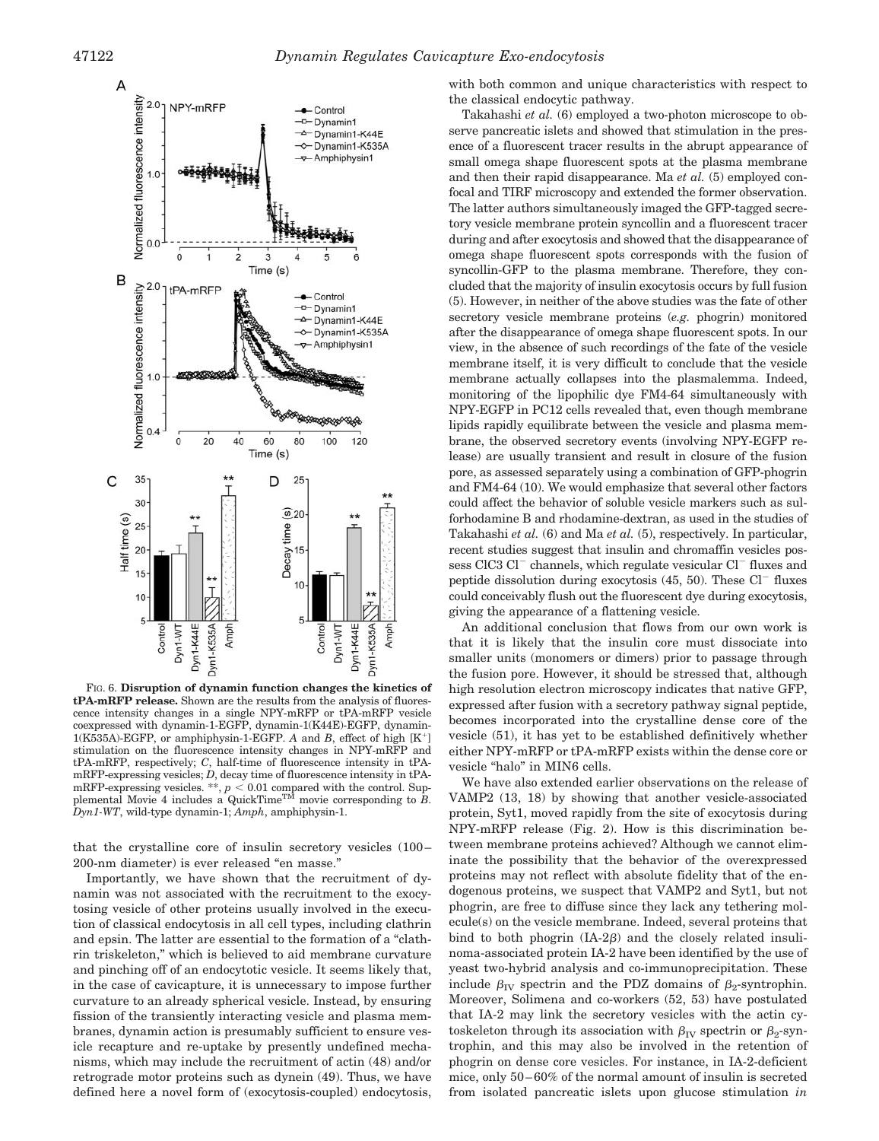

FIG. 6. **Disruption of dynamin function changes the kinetics of tPA-mRFP release.** Shown are the results from the analysis of fluorescence intensity changes in a single NPY-mRFP or tPA-mRFP vesicle coexpressed with dynamin-1-EGFP, dynamin-1(K44E)-EGFP, dynamin-1(K535A)-EGFP, or amphiphysin-1-EGFP. *A* and *B*, effect of high [K<sup>+</sup>] stimulation on the fluorescence intensity changes in NPY-mRFP and tPA-mRFP, respectively; *C*, half-time of fluorescence intensity in tPAmRFP-expressing vesicles; *D*, decay time of fluorescence intensity in tPAmRFP-expressing vesicles. \*\*,  $p < 0.01$  compared with the control. Sup-<br>plemental Movie 4 includes a QuickTime<sup>TM</sup> movie corresponding to *B*. *Dyn1-WT*, wild-type dynamin-1; *Amph*, amphiphysin-1.

that the crystalline core of insulin secretory vesicles (100 – 200-nm diameter) is ever released "en masse."

Importantly, we have shown that the recruitment of dynamin was not associated with the recruitment to the exocytosing vesicle of other proteins usually involved in the execution of classical endocytosis in all cell types, including clathrin and epsin. The latter are essential to the formation of a "clathrin triskeleton," which is believed to aid membrane curvature and pinching off of an endocytotic vesicle. It seems likely that, in the case of cavicapture, it is unnecessary to impose further curvature to an already spherical vesicle. Instead, by ensuring fission of the transiently interacting vesicle and plasma membranes, dynamin action is presumably sufficient to ensure vesicle recapture and re-uptake by presently undefined mechanisms, which may include the recruitment of actin (48) and/or retrograde motor proteins such as dynein (49). Thus, we have defined here a novel form of (exocytosis-coupled) endocytosis,

with both common and unique characteristics with respect to the classical endocytic pathway.

Takahashi *et al.* (6) employed a two-photon microscope to observe pancreatic islets and showed that stimulation in the presence of a fluorescent tracer results in the abrupt appearance of small omega shape fluorescent spots at the plasma membrane and then their rapid disappearance. Ma *et al.* (5) employed confocal and TIRF microscopy and extended the former observation. The latter authors simultaneously imaged the GFP-tagged secretory vesicle membrane protein syncollin and a fluorescent tracer during and after exocytosis and showed that the disappearance of omega shape fluorescent spots corresponds with the fusion of syncollin-GFP to the plasma membrane. Therefore, they concluded that the majority of insulin exocytosis occurs by full fusion (5). However, in neither of the above studies was the fate of other secretory vesicle membrane proteins (*e.g.* phogrin) monitored after the disappearance of omega shape fluorescent spots. In our view, in the absence of such recordings of the fate of the vesicle membrane itself, it is very difficult to conclude that the vesicle membrane actually collapses into the plasmalemma. Indeed, monitoring of the lipophilic dye FM4-64 simultaneously with NPY-EGFP in PC12 cells revealed that, even though membrane lipids rapidly equilibrate between the vesicle and plasma membrane, the observed secretory events (involving NPY-EGFP release) are usually transient and result in closure of the fusion pore, as assessed separately using a combination of GFP-phogrin and FM4-64 (10). We would emphasize that several other factors could affect the behavior of soluble vesicle markers such as sulforhodamine B and rhodamine-dextran, as used in the studies of Takahashi *et al.* (6) and Ma *et al.* (5), respectively. In particular, recent studies suggest that insulin and chromaffin vesicles possess  $CIC3 C1^-$  channels, which regulate vesicular  $Cl^-$  fluxes and peptide dissolution during exocytosis  $(45, 50)$ . These Cl<sup>-</sup> fluxes could conceivably flush out the fluorescent dye during exocytosis, giving the appearance of a flattening vesicle.

An additional conclusion that flows from our own work is that it is likely that the insulin core must dissociate into smaller units (monomers or dimers) prior to passage through the fusion pore. However, it should be stressed that, although high resolution electron microscopy indicates that native GFP, expressed after fusion with a secretory pathway signal peptide, becomes incorporated into the crystalline dense core of the vesicle (51), it has yet to be established definitively whether either NPY-mRFP or tPA-mRFP exists within the dense core or vesicle "halo" in MIN6 cells.

We have also extended earlier observations on the release of VAMP2 (13, 18) by showing that another vesicle-associated protein, Syt1, moved rapidly from the site of exocytosis during NPY-mRFP release (Fig. 2). How is this discrimination between membrane proteins achieved? Although we cannot eliminate the possibility that the behavior of the overexpressed proteins may not reflect with absolute fidelity that of the endogenous proteins, we suspect that VAMP2 and Syt1, but not phogrin, are free to diffuse since they lack any tethering molecule(s) on the vesicle membrane. Indeed, several proteins that bind to both phogrin  $(IA-2\beta)$  and the closely related insulinoma-associated protein IA-2 have been identified by the use of yeast two-hybrid analysis and co-immunoprecipitation. These include  $\beta_{\text{IV}}$  spectrin and the PDZ domains of  $\beta_2$ -syntrophin. Moreover, Solimena and co-workers (52, 53) have postulated that IA-2 may link the secretory vesicles with the actin cytoskeleton through its association with  $\beta_{\text{IV}}$  spectrin or  $\beta_2$ -syntrophin, and this may also be involved in the retention of phogrin on dense core vesicles. For instance, in IA-2-deficient mice, only 50 – 60% of the normal amount of insulin is secreted from isolated pancreatic islets upon glucose stimulation *in*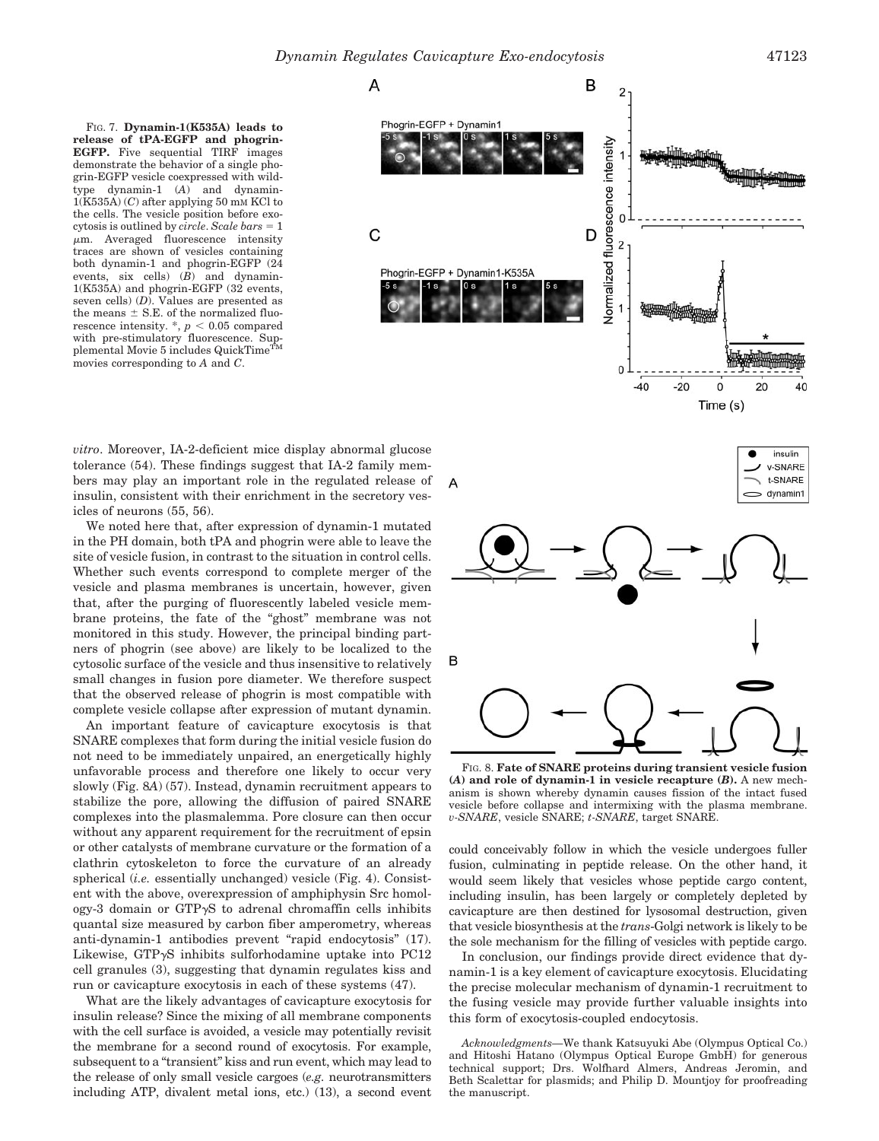FIG. 7. **Dynamin-1(K535A) leads to release of tPA-EGFP and phogrin-EGFP.** Five sequential TIRF images demonstrate the behavior of a single phogrin-EGFP vesicle coexpressed with wildtype dynamin-1 (*A*) and dynamin-1(K535A) (*C*) after applying 50 mM KCl to the cells. The vesicle position before exocytosis is outlined by *circle*. *Scale bars* = 1  $\mu$ m. Averaged fluorescence intensity traces are shown of vesicles containing both dynamin-1 and phogrin-EGFP (24 events, six cells) (*B*) and dynamin-1(K535A) and phogrin-EGFP (32 events, seven cells) (*D*). Values are presented as the means  $\pm$  S.E. of the normalized fluorescence intensity.  $\hat{p}$  < 0.05 compared rescence intensity.  $P$  and  $\sum_{n=1}^{\infty}$  Sup-<br>with pre-stimulatory fluorescence. Supplemental Movie 5 includes QuickTime<sup>5</sup> movies corresponding to *A* and *C*.



Time (s)

*vitro*. Moreover, IA-2-deficient mice display abnormal glucose tolerance (54). These findings suggest that IA-2 family members may play an important role in the regulated release of insulin, consistent with their enrichment in the secretory vesicles of neurons (55, 56).

We noted here that, after expression of dynamin-1 mutated in the PH domain, both tPA and phogrin were able to leave the site of vesicle fusion, in contrast to the situation in control cells. Whether such events correspond to complete merger of the vesicle and plasma membranes is uncertain, however, given that, after the purging of fluorescently labeled vesicle membrane proteins, the fate of the "ghost" membrane was not monitored in this study. However, the principal binding partners of phogrin (see above) are likely to be localized to the cytosolic surface of the vesicle and thus insensitive to relatively small changes in fusion pore diameter. We therefore suspect that the observed release of phogrin is most compatible with complete vesicle collapse after expression of mutant dynamin.

An important feature of cavicapture exocytosis is that SNARE complexes that form during the initial vesicle fusion do not need to be immediately unpaired, an energetically highly unfavorable process and therefore one likely to occur very slowly (Fig. 8*A*) (57). Instead, dynamin recruitment appears to stabilize the pore, allowing the diffusion of paired SNARE complexes into the plasmalemma. Pore closure can then occur without any apparent requirement for the recruitment of epsin or other catalysts of membrane curvature or the formation of a clathrin cytoskeleton to force the curvature of an already spherical (*i.e.* essentially unchanged) vesicle (Fig. 4). Consistent with the above, overexpression of amphiphysin Src homol $ogy-3$  domain or  $GTP\gamma S$  to adrenal chromaffin cells inhibits quantal size measured by carbon fiber amperometry, whereas anti-dynamin-1 antibodies prevent "rapid endocytosis" (17). Likewise,  $GTP\gamma S$  inhibits sulforhodamine uptake into PC12 cell granules (3), suggesting that dynamin regulates kiss and run or cavicapture exocytosis in each of these systems (47).

What are the likely advantages of cavicapture exocytosis for insulin release? Since the mixing of all membrane components with the cell surface is avoided, a vesicle may potentially revisit the membrane for a second round of exocytosis. For example, subsequent to a "transient" kiss and run event, which may lead to the release of only small vesicle cargoes (*e.g.* neurotransmitters including ATP, divalent metal ions, etc.) (13), a second event



FIG. 8. **Fate of SNARE proteins during transient vesicle fusion (***A***) and role of dynamin-1 in vesicle recapture (***B***).** A new mechanism is shown whereby dynamin causes fission of the intact fused vesicle before collapse and intermixing with the plasma membrane. *v-SNARE*, vesicle SNARE; *t-SNARE*, target SNARE.

could conceivably follow in which the vesicle undergoes fuller fusion, culminating in peptide release. On the other hand, it would seem likely that vesicles whose peptide cargo content, including insulin, has been largely or completely depleted by cavicapture are then destined for lysosomal destruction, given that vesicle biosynthesis at the *trans*-Golgi network is likely to be the sole mechanism for the filling of vesicles with peptide cargo.

In conclusion, our findings provide direct evidence that dynamin-1 is a key element of cavicapture exocytosis. Elucidating the precise molecular mechanism of dynamin-1 recruitment to the fusing vesicle may provide further valuable insights into this form of exocytosis-coupled endocytosis.

*Acknowledgments—*We thank Katsuyuki Abe (Olympus Optical Co.) and Hitoshi Hatano (Olympus Optical Europe GmbH) for generous technical support; Drs. Wolfhard Almers, Andreas Jeromin, and Beth Scalettar for plasmids; and Philip D. Mountjoy for proofreading the manuscript.